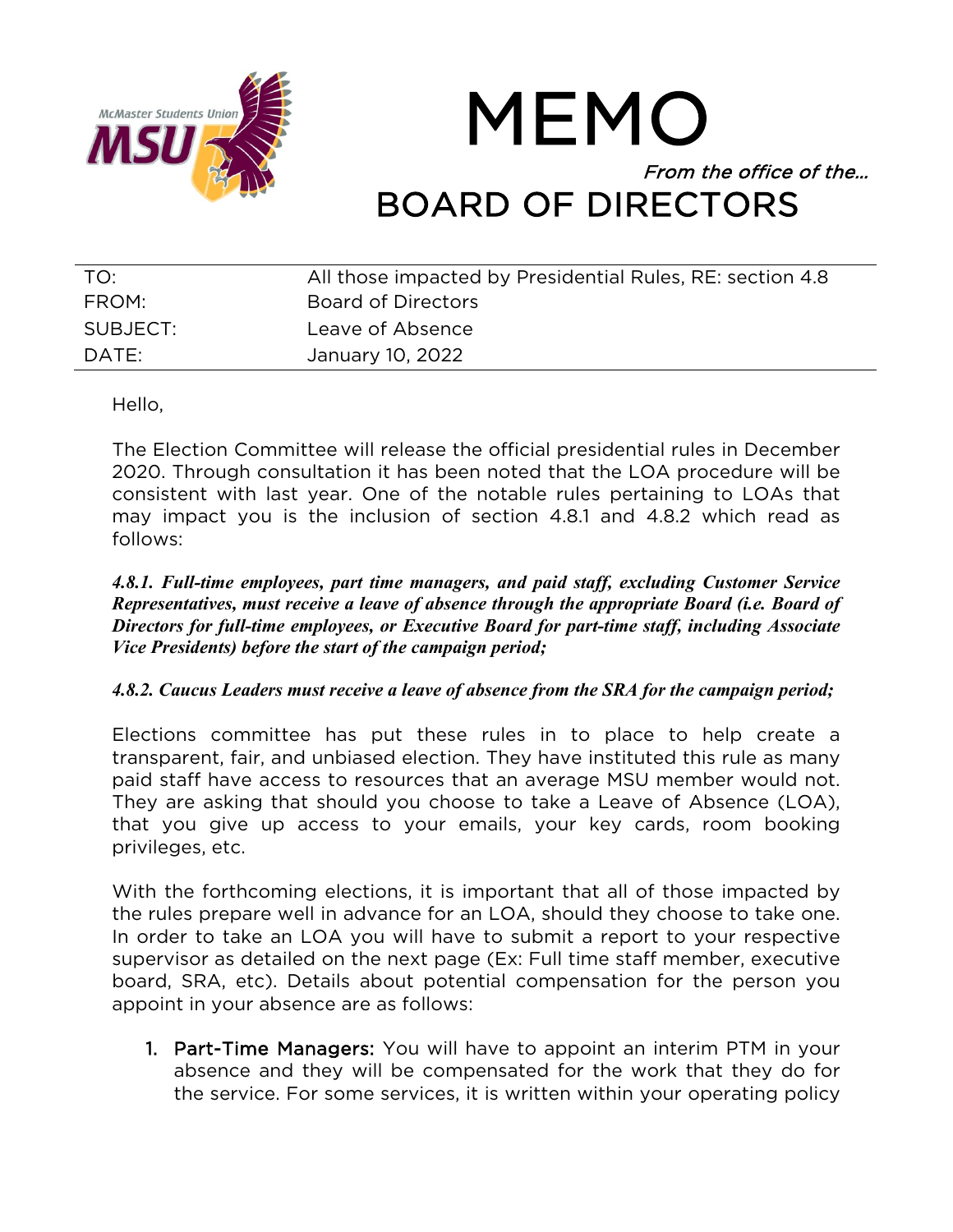

# MEMO From the office of the… BOARD OF DIRECTORS

| TO:      | All those impacted by Presidential Rules, RE: section 4.8 |
|----------|-----------------------------------------------------------|
| FROM:    | <b>Board of Directors</b>                                 |
| SUBJECT: | Leave of Absence                                          |
| DATE:    | January 10, 2022                                          |

Hello,

The Election Committee will release the official presidential rules in December 2020. Through consultation it has been noted that the LOA procedure will be consistent with last year. One of the notable rules pertaining to LOAs that may impact you is the inclusion of section 4.8.1 and 4.8.2 which read as follows:

*4.8.1. Full-time employees, part time managers, and paid staff, excluding Customer Service Representatives, must receive a leave of absence through the appropriate Board (i.e. Board of Directors for full-time employees, or Executive Board for part-time staff, including Associate Vice Presidents) before the start of the campaign period;*

## *4.8.2. Caucus Leaders must receive a leave of absence from the SRA for the campaign period;*

Elections committee has put these rules in to place to help create a transparent, fair, and unbiased election. They have instituted this rule as many paid staff have access to resources that an average MSU member would not. They are asking that should you choose to take a Leave of Absence (LOA), that you give up access to your emails, your key cards, room booking privileges, etc.

With the forthcoming elections, it is important that all of those impacted by the rules prepare well in advance for an LOA, should they choose to take one. In order to take an LOA you will have to submit a report to your respective supervisor as detailed on the next page (Ex: Full time staff member, executive board, SRA, etc). Details about potential compensation for the person you appoint in your absence are as follows:

1. Part-Time Managers: You will have to appoint an interim PTM in your absence and they will be compensated for the work that they do for the service. For some services, it is written within your operating policy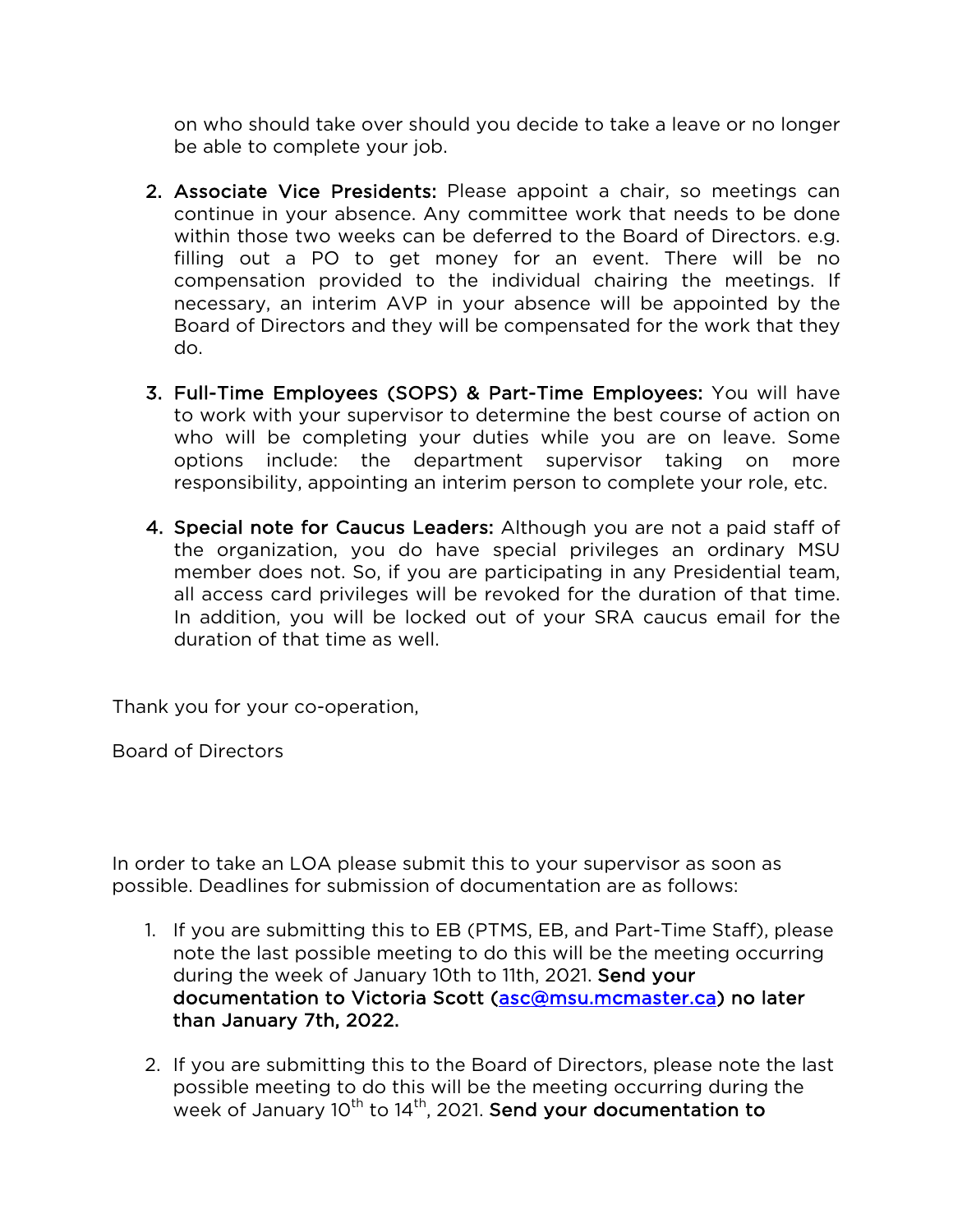on who should take over should you decide to take a leave or no longer be able to complete your job.

- 2. Associate Vice Presidents: Please appoint a chair, so meetings can continue in your absence. Any committee work that needs to be done within those two weeks can be deferred to the Board of Directors. e.g. filling out a PO to get money for an event. There will be no compensation provided to the individual chairing the meetings. If necessary, an interim AVP in your absence will be appointed by the Board of Directors and they will be compensated for the work that they do.
- 3. Full-Time Employees (SOPS) & Part-Time Employees: You will have to work with your supervisor to determine the best course of action on who will be completing your duties while you are on leave. Some options include: the department supervisor taking on more responsibility, appointing an interim person to complete your role, etc.
- 4. Special note for Caucus Leaders: Although you are not a paid staff of the organization, you do have special privileges an ordinary MSU member does not. So, if you are participating in any Presidential team, all access card privileges will be revoked for the duration of that time. In addition, you will be locked out of your SRA caucus email for the duration of that time as well.

Thank you for your co-operation,

Board of Directors

In order to take an LOA please submit this to your supervisor as soon as possible. Deadlines for submission of documentation are as follows:

- 1. If you are submitting this to EB (PTMS, EB, and Part-Time Staff), please note the last possible meeting to do this will be the meeting occurring during the week of January 10th to 11th, 2021. Send your documentation to Victoria Scott (asc@msu.mcmaster.ca) no later than January 7th, 2022.
- 2. If you are submitting this to the Board of Directors, please note the last possible meeting to do this will be the meeting occurring during the week of January  $10^{th}$  to  $14^{th}$ , 2021. Send your documentation to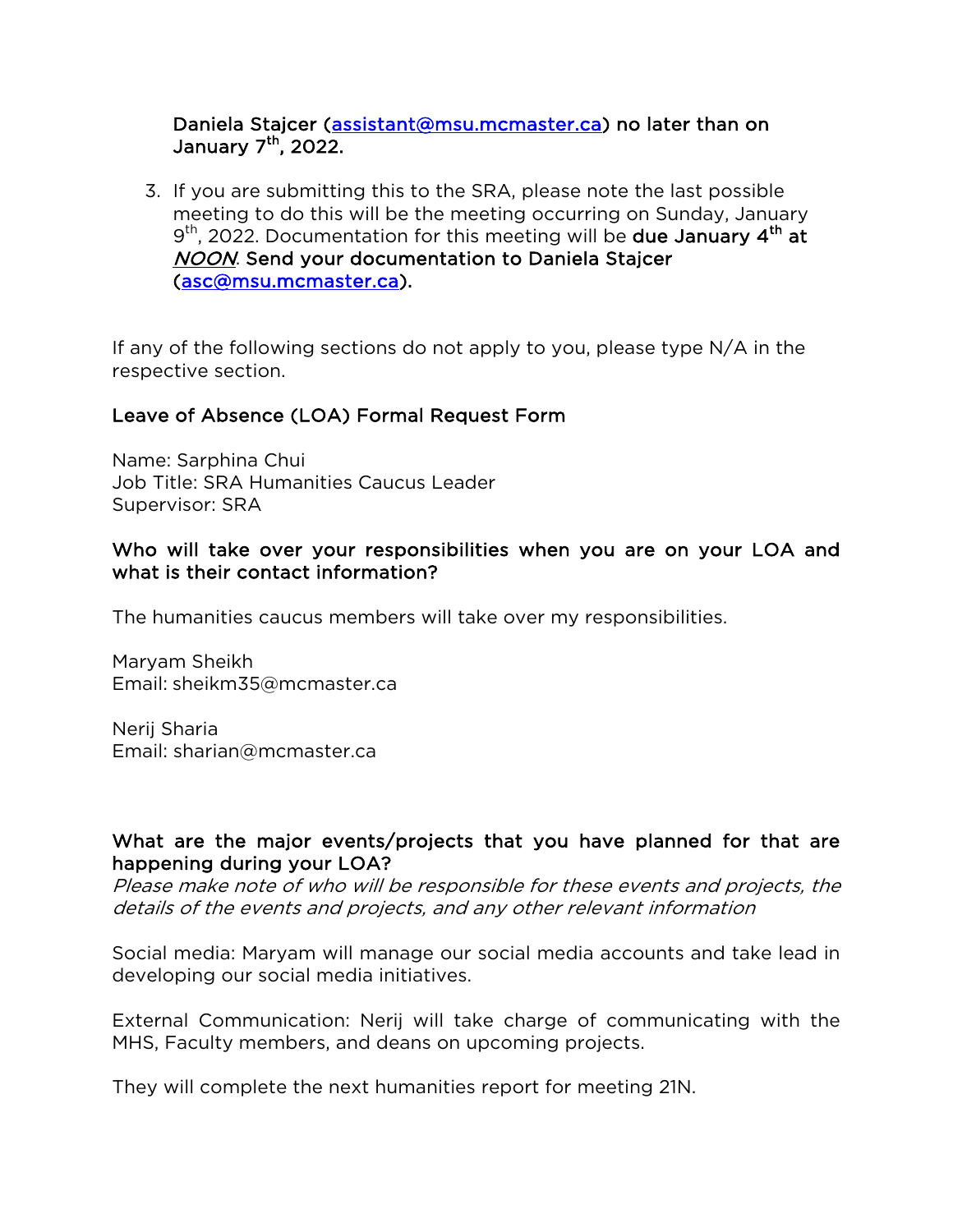#### Daniela Stajcer (assistant@msu.mcmaster.ca) no later than on January  $7<sup>th</sup>$ , 2022.

3. If you are submitting this to the SRA, please note the last possible meeting to do this will be the meeting occurring on Sunday, January  $9<sup>th</sup>$ , 2022. Documentation for this meeting will be **due January 4<sup>th</sup> at** NOON. Send your documentation to Daniela Stajcer (asc@msu.mcmaster.ca).

If any of the following sections do not apply to you, please type N/A in the respective section.

## Leave of Absence (LOA) Formal Request Form

Name: Sarphina Chui Job Title: SRA Humanities Caucus Leader Supervisor: SRA

#### Who will take over your responsibilities when you are on your LOA and what is their contact information?

The humanities caucus members will take over my responsibilities.

Maryam Sheikh Email: sheikm35@mcmaster.ca

Nerij Sharia Email: sharian@mcmaster.ca

## What are the major events/projects that you have planned for that are happening during your LOA?

Please make note of who will be responsible for these events and projects, the details of the events and projects, and any other relevant information

Social media: Maryam will manage our social media accounts and take lead in developing our social media initiatives.

External Communication: Nerij will take charge of communicating with the MHS, Faculty members, and deans on upcoming projects.

They will complete the next humanities report for meeting 21N.